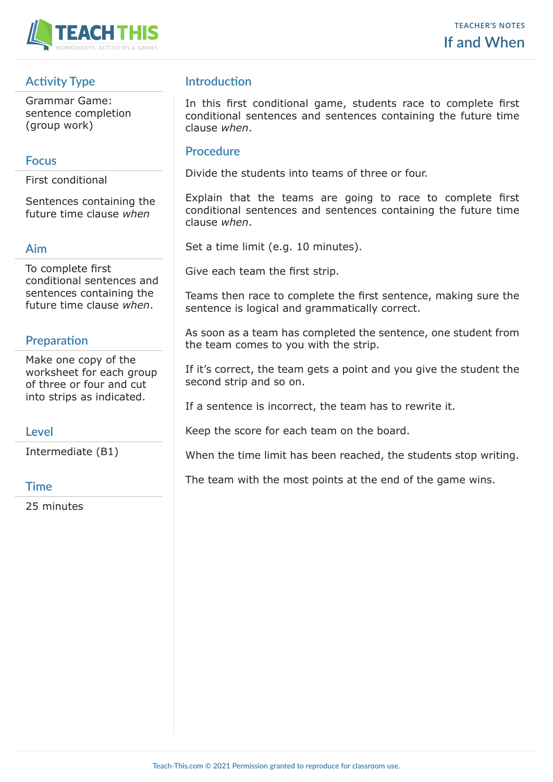

# **Activity Type**

Grammar Game: sentence completion (group work)

### **Focus**

First conditional

Sentences containing the future time clause *when*

#### **Aim**

To complete first conditional sentences and sentences containing the future time clause *when*.

# **Preparation**

Make one copy of the worksheet for each group of three or four and cut into strips as indicated.

## **Level**

Intermediate (B1)

### **Time**

25 minutes

# **Introduction**

In this first conditional game, students race to complete first conditional sentences and sentences containing the future time clause *when*.

## **Procedure**

Divide the students into teams of three or four.

Explain that the teams are going to race to complete first conditional sentences and sentences containing the future time clause *when*.

Set a time limit (e.g. 10 minutes).

Give each team the first strip.

Teams then race to complete the first sentence, making sure the sentence is logical and grammatically correct.

As soon as a team has completed the sentence, one student from the team comes to you with the strip.

If it's correct, the team gets a point and you give the student the second strip and so on.

If a sentence is incorrect, the team has to rewrite it.

Keep the score for each team on the board.

When the time limit has been reached, the students stop writing.

The team with the most points at the end of the game wins.